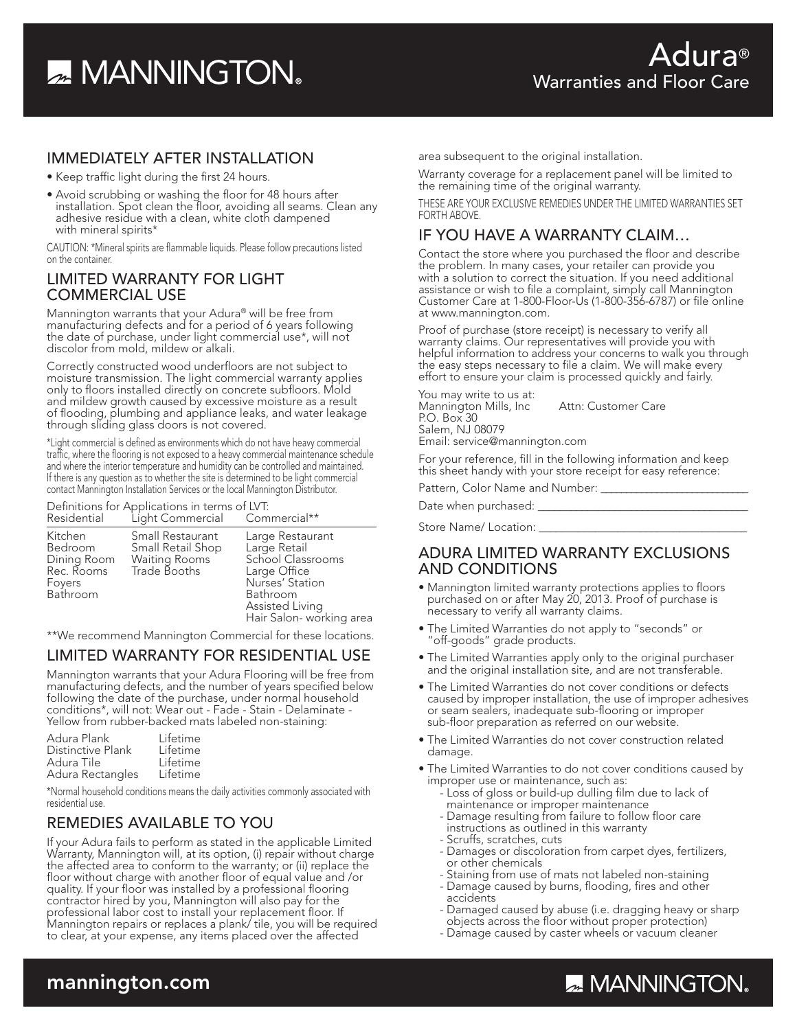# **A MANNINGTON**

#### IMMEDIATELY AFTER INSTALLATION

- •Keep traffic light during the first 24 hours.
- Avoid scrubbing or washing the floor for 48 hours after installation. Spot clean the floor, avoiding all seams. Clean any adhesive residue with a clean, white cloth dampened with mineral spirits\*

CAUTION: \*Mineral spirits are flammable liquids. Please follow precautions listed on the container.

#### LIMITED WARRANTY FOR LIGHT COMMERCIAL USE

Mannington warrants that your Adura® will be free from manufacturing defects and for a period of 6 years following the date of purchase, under light commercial use\*, will not discolor from mold, mildew or alkali.

Correctly constructed wood underfloors are not subject to moisture transmission. The light commercial warranty applies only to floors installed directly on concrete subfloors. Mold and mildew growth caused by excessive moisture as a result of flooding, plumbing and appliance leaks, and water leakage through sliding glass doors is not covered.

\*Light commercial is defined as environments which do not have heavy commercial traffic, where the flooring is not exposed to a heavy commercial maintenance schedule and where the interior temperature and humidity can be controlled and maintained. If there is any question as to whether the site is determined to be light commercial contact Mannington Installation Services or the local Mannington Distributor.

#### Definitions for Applications in terms of LVT:

| Residential                                                           | Light Commercial                                                       | Commercial**                                                                                                                                        |
|-----------------------------------------------------------------------|------------------------------------------------------------------------|-----------------------------------------------------------------------------------------------------------------------------------------------------|
| Kitchen<br>Bedroom<br>Dining Room<br>Rec. Rooms<br>Foyers<br>Bathroom | Small Restaurant<br>Small Retail Shop<br>Waiting Rooms<br>Trade Booths | Large Restaurant<br>Large Retail<br>School Classrooms<br>Large Office<br>Nurses' Station<br>Bathroom<br>Assisted Living<br>Hair Salon- working area |

\*\*We recommend Mannington Commercial for these locations.

#### LIMITED WARRANTY FOR RESIDENTIAL USE

Mannington warrants that your Adura Flooring will be free from manufacturing defects, and the number of years specified below following the date of the purchase, under normal household conditions\*, will not: Wear out - Fade - Stain - Delaminate - Yellow from rubber-backed mats labeled non-staining:

| Adura Plank       | Lifetime |
|-------------------|----------|
| Distinctive Plank | Lifetime |
| Adura Tile        | Lifetime |
| Adura Rectangles  | Lifetime |

\*Normal household conditions means the daily activities commonly associated with residential use.

#### REMEDIES AVAILABLE TO YOU

If your Adura fails to perform as stated in the applicable Limited Warranty, Mannington will, at its option, (i) repair without charge the affected area to conform to the warranty; or (ii) replace the floor without charge with another floor of equal value and /or quality. If your floor was installed by a professional flooring contractor hired by you, Mannington will also pay for the professional labor cost to install your replacement floor. If Mannington repairs or replaces a plank/ tile, you will be required to clear, at your expense, any items placed over the affected

area subsequent to the original installation.

Warranty coverage for a replacement panel will be limited to the remaining time of the original warranty.

THESE ARE YOUR EXCLUSIVE REMEDIES UNDER THE LIMITED WARRANTIES SET FORTH ABOVE.

#### IF YOU HAVE A WARRANTY CLAIM…

Contact the store where you purchased the floor and describe the problem. In many cases, your retailer can provide you with a solution to correct the situation. If you need additional assistance or wish to file a complaint, simply call Mannington Customer Care at 1-800-Floor-Us (1-800-356-6787) or file online at www.mannington.com.

Proof of purchase (store receipt) is necessary to verify all warranty claims. Our representatives will provide you with helpful information to address your concerns to walk you through the easy steps necessary to file a claim. We will make every effort to ensure your claim is processed quickly and fairly.

You may write to us at: Mannington Mills, Inc Attn: Customer Care P.O. Box 30 Salem, NJ 08079 Email: service@mannington.com

For your reference, fill in the following information and keep this sheet handy with your store receipt for easy reference:

Pattern, Color Name and Number: \_\_\_\_

Date when purchased: \_\_

Store Name/ Location: \_\_\_\_\_\_\_\_\_\_\_\_\_\_\_\_\_\_\_\_\_\_\_\_\_\_\_\_\_\_\_\_\_\_\_\_\_

#### ADURA LIMITED WARRANTY EXCLUSIONS AND CONDITIONS

- Mannington limited warranty protections applies to floors purchased on or after May 20, 2013. Proof of purchase is necessary to verify all warranty claims.
- The Limited Warranties do not apply to "seconds" or "off-goods" grade products.
- The Limited Warranties apply only to the original purchaser and the original installation site, and are not transferable.
- The Limited Warranties do not cover conditions or defects caused by improper installation, the use of improper adhesives<br>or seam sealers, inadequate sub-flooring or improper<br>sub-floor preparation as referred on our website.
- The Limited Warranties do not cover construction related damage.
- The Limited Warranties to do not cover conditions caused by improper use or maintenance, such as:
	- Loss of gloss or build-up dulling film due to lack of maintenance or improper maintenance
	- Damage resulting from failure to follow floor care instructions as outlined in this warranty
	- -Scruffs, scratches, cuts
	- Damages or discoloration from carpet dyes, fertilizers, or other chemicals
	- Staining from use of mats not labeled non-staining - Damage caused by burns, flooding, fires and other
	- accidents
	- Damaged caused by abuse (i.e. dragging heavy or sharp objects across the floor without proper protection)
	- Damage caused by caster wheels or vacuum cleaner

### mannington.com

## **ZA MANNINGTON**